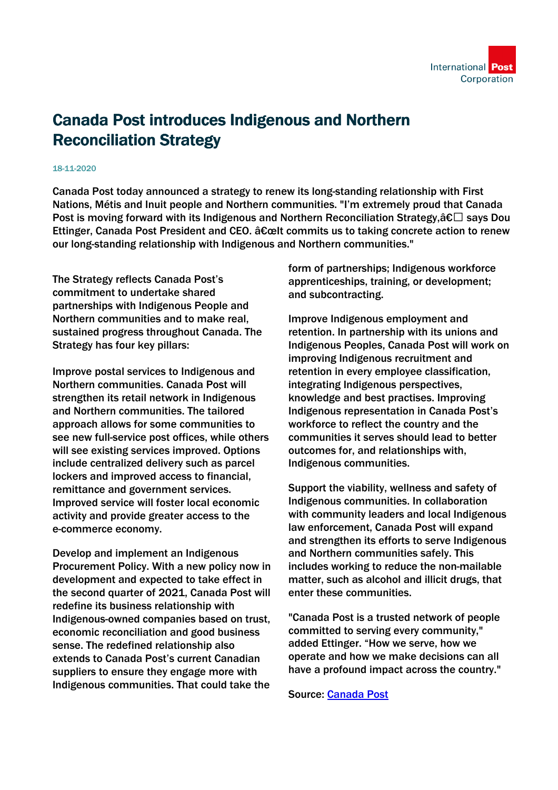

## Canada Post introduces Indigenous and Northern Reconciliation Strategy

## 18-11-2020

Canada Post today announced a strategy to renew its long-standing relationship with First Nations, Métis and Inuit people and Northern communities. "I'm extremely proud that Canada Post is moving forward with its Indigenous and Northern Reconciliation Strategy,  $\hat{\mathbf{c}} \Box$  says Doug Ettinger, Canada Post President and CEO. "lt commits us to taking concrete action to renew our long-standing relationship with Indigenous and Northern communities."

The Strategy reflects Canada Post's commitment to undertake shared partnerships with Indigenous People and Northern communities and to make real, sustained progress throughout Canada. The Strategy has four key pillars:

Improve postal services to Indigenous and Northern communities. Canada Post will strengthen its retail network in Indigenous and Northern communities. The tailored approach allows for some communities to see new full-service post offices, while others will see existing services improved. Options include centralized delivery such as parcel lockers and improved access to financial, remittance and government services. Improved service will foster local economic activity and provide greater access to the e-commerce economy.

Develop and implement an Indigenous Procurement Policy. With a new policy now in development and expected to take effect in the second quarter of 2021, Canada Post will redefine its business relationship with Indigenous-owned companies based on trust, economic reconciliation and good business sense. The redefined relationship also extends to Canada Post's current Canadian suppliers to ensure they engage more with Indigenous communities. That could take the

form of partnerships; Indigenous workforce apprenticeships, training, or development; and subcontracting.

Improve Indigenous employment and retention. In partnership with its unions and Indigenous Peoples, Canada Post will work on improving Indigenous recruitment and retention in every employee classification, integrating Indigenous perspectives, knowledge and best practises. Improving Indigenous representation in Canada Post's workforce to reflect the country and the communities it serves should lead to better outcomes for, and relationships with, Indigenous communities.

Support the viability, wellness and safety of Indigenous communities. In collaboration with community leaders and local Indigenous law enforcement, Canada Post will expand and strengthen its efforts to serve Indigenous and Northern communities safely. This includes working to reduce the non-mailable matter, such as alcohol and illicit drugs, that enter these communities.

"Canada Post is a trusted network of people committed to serving every community," added Ettinger. "How we serve, how we operate and how we make decisions can all have a profound impact across the country."

Source: [Canada Post](https://www.canadapost.ca/cpc/en/our-company/news-and-media/corporate-news/news-release/2020-11-17-canada-post-introduces-indigenous-and-northern-reconciliation-strategy)